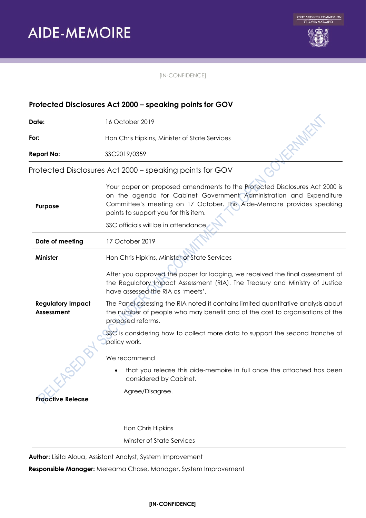

O KRANKA

 $\mathbf{c}^{\prime}$ 

[IN-CONFIDENCE]

# **Protected Disclosures Act 2000 – speaking points for GOV**

**Date:** 16 October 2019

**For:** Hon Chris Hipkins, Minister of State Services

**Report No:** SSC2019/0359

Protected Disclosures Act 2000 – speaking points for GOV

| Purpose                                       | Your paper on proposed amendments to the Protected Disclosures Act 2000 is<br>on the agenda for Cabinet Government Administration and Expenditure<br>Committee's meeting on 17 October. This Aide-Memoire provides speaking<br>points to support you for this item. |
|-----------------------------------------------|---------------------------------------------------------------------------------------------------------------------------------------------------------------------------------------------------------------------------------------------------------------------|
|                                               | SSC officials will be in attendance.                                                                                                                                                                                                                                |
| Date of meeting                               | 17 October 2019                                                                                                                                                                                                                                                     |
| <b>Minister</b>                               | Hon Chris Hipkins, Minister of State Services                                                                                                                                                                                                                       |
|                                               | After you approved the paper for lodging, we received the final assessment of<br>the Regulatory Impact Assessment (RIA). The Treasury and Ministry of Justice<br>have assessed the RIA as 'meets'.                                                                  |
| <b>Regulatory Impact</b><br><b>Assessment</b> | The Panel assessing the RIA noted it contains limited quantitative analysis about<br>the number of people who may benefit and of the cost to organisations of the<br>proposed reforms.                                                                              |
|                                               | SSC is considering how to collect more data to support the second tranche of<br>policy work.                                                                                                                                                                        |
|                                               | We recommend                                                                                                                                                                                                                                                        |
|                                               | that you release this aide-memoire in full once the attached has been<br>considered by Cabinet.                                                                                                                                                                     |
| <b>Proactive Release</b>                      | Agree/Disagree.                                                                                                                                                                                                                                                     |
|                                               |                                                                                                                                                                                                                                                                     |
|                                               | Hon Chris Hipkins                                                                                                                                                                                                                                                   |
|                                               | Minster of State Services                                                                                                                                                                                                                                           |

**Author:** Lisita Aloua, Assistant Analyst, System Improvement

**Responsible Manager:** Mereama Chase, Manager, System Improvement